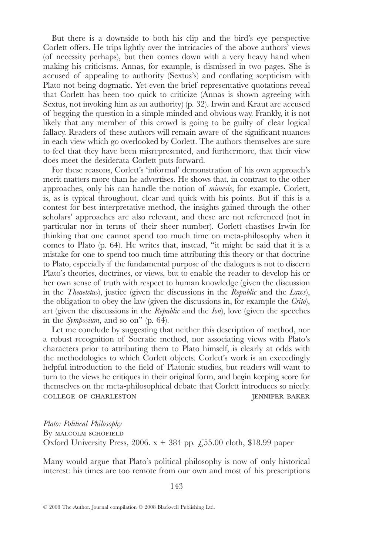But there is a downside to both his clip and the bird's eye perspective Corlett offers. He trips lightly over the intricacies of the above authors' views (of necessity perhaps), but then comes down with a very heavy hand when making his criticisms. Annas, for example, is dismissed in two pages. She is accused of appealing to authority (Sextus's) and conflating scepticism with Plato not being dogmatic. Yet even the brief representative quotations reveal that Corlett has been too quick to criticize (Annas is shown agreeing with Sextus, not invoking him as an authority) (p. 32). Irwin and Kraut are accused of begging the question in a simple minded and obvious way. Frankly, it is not likely that any member of this crowd is going to be guilty of clear logical fallacy. Readers of these authors will remain aware of the significant nuances in each view which go overlooked by Corlett. The authors themselves are sure to feel that they have been misrepresented, and furthermore, that their view does meet the desiderata Corlett puts forward.

For these reasons, Corlett's 'informal' demonstration of his own approach's merit matters more than he advertises. He shows that, in contrast to the other approaches, only his can handle the notion of *mimesis*, for example. Corlett, is, as is typical throughout, clear and quick with his points. But if this is a contest for best interpretative method, the insights gained through the other scholars' approaches are also relevant, and these are not referenced (not in particular nor in terms of their sheer number). Corlett chastises Irwin for thinking that one cannot spend too much time on meta-philosophy when it comes to Plato (p. 64). He writes that, instead, "it might be said that it is a mistake for one to spend too much time attributing this theory or that doctrine to Plato, especially if the fundamental purpose of the dialogues is not to discern Plato's theories, doctrines, or views, but to enable the reader to develop his or her own sense of truth with respect to human knowledge (given the discussion in the *Theaetetus*), justice (given the discussions in the *Republic* and the *Laws*), the obligation to obey the law (given the discussions in, for example the *Crito*), art (given the discussions in the *Republic* and the *Ion*), love (given the speeches in the *Symposium*, and so on" (p. 64).

Let me conclude by suggesting that neither this description of method, nor a robust recognition of Socratic method, nor associating views with Plato's characters prior to attributing them to Plato himself, is clearly at odds with the methodologies to which Corlett objects. Corlett's work is an exceedingly helpful introduction to the field of Platonic studies, but readers will want to turn to the views he critiques in their original form, and begin keeping score for themselves on the meta-philosophical debate that Corlett introduces so nicely. COLLEGE OF CHARLESTON **EXAMPLE PROPER BAKER** 

*Plato: Political Philosophy* By MALCOLM SCHOFIELD Oxford University Press, 2006.  $x + 384$  pp.  $\text{\textsterling}55.00$  cloth, \$18.99 paper

Many would argue that Plato's political philosophy is now of only historical interest: his times are too remote from our own and most of his prescriptions

<sup>© 2008</sup> The Author. Journal compilation © 2008 Blackwell Publishing Ltd.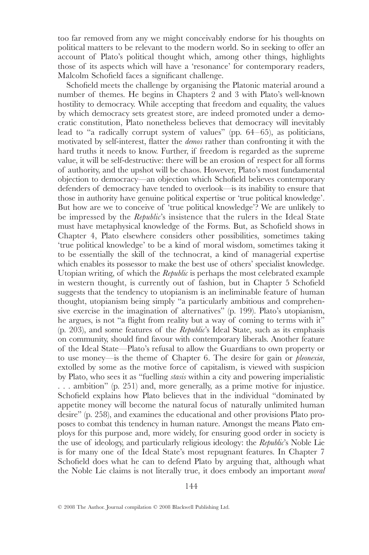too far removed from any we might conceivably endorse for his thoughts on political matters to be relevant to the modern world. So in seeking to offer an account of Plato's political thought which, among other things, highlights those of its aspects which will have a 'resonance' for contemporary readers, Malcolm Schofield faces a significant challenge.

Schofield meets the challenge by organising the Platonic material around a number of themes. He begins in Chapters 2 and 3 with Plato's well-known hostility to democracy. While accepting that freedom and equality, the values by which democracy sets greatest store, are indeed promoted under a democratic constitution, Plato nonetheless believes that democracy will inevitably lead to "a radically corrupt system of values" (pp. 64–65), as politicians, motivated by self-interest, flatter the *demos* rather than confronting it with the hard truths it needs to know. Further, if freedom is regarded as the supreme value, it will be self-destructive: there will be an erosion of respect for all forms of authority, and the upshot will be chaos. However, Plato's most fundamental objection to democracy—an objection which Schofield believes contemporary defenders of democracy have tended to overlook—is its inability to ensure that those in authority have genuine political expertise or 'true political knowledge'. But how are we to conceive of 'true political knowledge'? We are unlikely to be impressed by the *Republic*'s insistence that the rulers in the Ideal State must have metaphysical knowledge of the Forms. But, as Schofield shows in Chapter 4, Plato elsewhere considers other possibilities, sometimes taking 'true political knowledge' to be a kind of moral wisdom, sometimes taking it to be essentially the skill of the technocrat, a kind of managerial expertise which enables its possessor to make the best use of others' specialist knowledge. Utopian writing, of which the *Republic* is perhaps the most celebrated example in western thought, is currently out of fashion, but in Chapter 5 Schofield suggests that the tendency to utopianism is an ineliminable feature of human thought, utopianism being simply "a particularly ambitious and comprehensive exercise in the imagination of alternatives" (p. 199). Plato's utopianism, he argues, is not "a flight from reality but a way of coming to terms with it" (p. 203), and some features of the *Republic*'s Ideal State, such as its emphasis on community, should find favour with contemporary liberals. Another feature of the Ideal State—Plato's refusal to allow the Guardians to own property or to use money—is the theme of Chapter 6. The desire for gain or *pleonexia*, extolled by some as the motive force of capitalism, is viewed with suspicion by Plato, who sees it as "fuelling *stasis* within a city and powering imperialistic . . . ambition" (p. 251) and, more generally, as a prime motive for injustice. Schofield explains how Plato believes that in the individual "dominated by appetite money will become the natural focus of naturally unlimited human desire" (p. 258), and examines the educational and other provisions Plato proposes to combat this tendency in human nature. Amongst the means Plato employs for this purpose and, more widely, for ensuring good order in society is the use of ideology, and particularly religious ideology: the *Republic*'s Noble Lie is for many one of the Ideal State's most repugnant features. In Chapter 7 Schofield does what he can to defend Plato by arguing that, although what the Noble Lie claims is not literally true, it does embody an important *moral*

<sup>© 2008</sup> The Author. Journal compilation © 2008 Blackwell Publishing Ltd.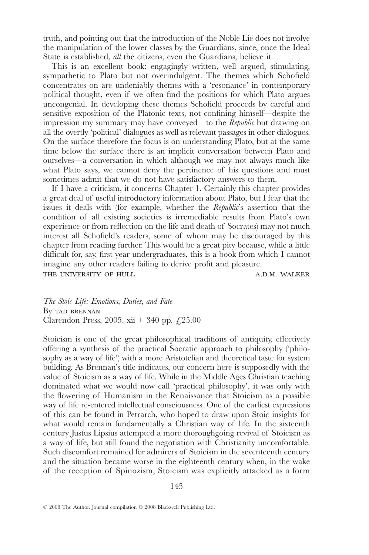truth, and pointing out that the introduction of the Noble Lie does not involve the manipulation of the lower classes by the Guardians, since, once the Ideal State is established, *all* the citizens, even the Guardians, believe it.

This is an excellent book: engagingly written, well argued, stimulating, sympathetic to Plato but not overindulgent. The themes which Schofield concentrates on are undeniably themes with a 'resonance' in contemporary political thought, even if we often find the positions for which Plato argues uncongenial. In developing these themes Schofield proceeds by careful and sensitive exposition of the Platonic texts, not confining himself—despite the impression my summary may have conveyed—to the *Republic* but drawing on all the overtly 'political' dialogues as well as relevant passages in other dialogues. On the surface therefore the focus is on understanding Plato, but at the same time below the surface there is an implicit conversation between Plato and ourselves—a conversation in which although we may not always much like what Plato says, we cannot deny the pertinence of his questions and must sometimes admit that we do not have satisfactory answers to them.

If I have a criticism, it concerns Chapter 1. Certainly this chapter provides a great deal of useful introductory information about Plato, but I fear that the issues it deals with (for example, whether the *Republic*'s assertion that the condition of all existing societies is irremediable results from Plato's own experience or from reflection on the life and death of Socrates) may not much interest all Schofield's readers, some of whom may be discouraged by this chapter from reading further. This would be a great pity because, while a little difficult for, say, first year undergraduates, this is a book from which I cannot imagine any other readers failing to derive profit and pleasure. THE UNIVERSITY OF HULL A.D.M. WALKER

*The Stoic Life: Emotions, Duties, and Fate* By TAD BRENNAN Clarendon Press, 2005. xii + 340 pp.  $\text{\textsterling}25.00$ 

Stoicism is one of the great philosophical traditions of antiquity, effectively offering a synthesis of the practical Socratic approach to philosophy ('philosophy as a way of life') with a more Aristotelian and theoretical taste for system building. As Brennan's title indicates, our concern here is supposedly with the value of Stoicism as a way of life. While in the Middle Ages Christian teaching dominated what we would now call 'practical philosophy', it was only with the flowering of Humanism in the Renaissance that Stoicism as a possible way of life re-entered intellectual consciousness. One of the earliest expressions of this can be found in Petrarch, who hoped to draw upon Stoic insights for what would remain fundamentally a Christian way of life. In the sixteenth century Justus Lipsius attempted a more thoroughgoing revival of Stoicism as a way of life, but still found the negotiation with Christianity uncomfortable. Such discomfort remained for admirers of Stoicism in the seventeenth century and the situation became worse in the eighteenth century when, in the wake of the reception of Spinozism, Stoicism was explicitly attacked as a form

<sup>© 2008</sup> The Author. Journal compilation © 2008 Blackwell Publishing Ltd.